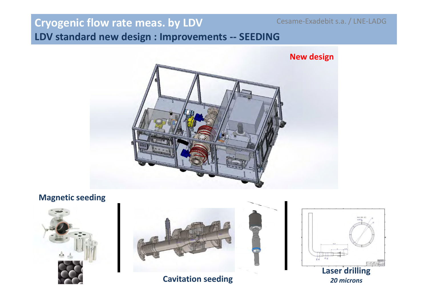# **Cryogenic flow rate meas. by LDV**

Cesame-Exadebit s.a. / LNE-LADG

**LDV standard new design : Improvements -- SEEDING**



**Magnetic seeding**





**Cavitation seeding**



*20 microns*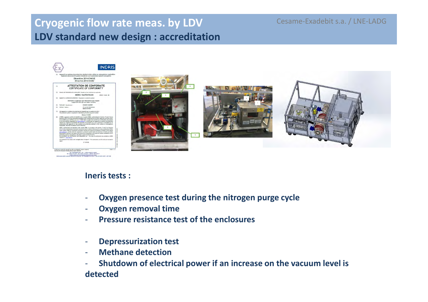### **Cryogenic flow rate meas. by LDV LDV standard new design : accreditation**

Cesame-Exadebit s.a. / LNE-LADG



#### **Ineris tests :**

- -**Oxygen presence test during the nitrogen purge cycle**
- -**Oxygen removal time**
- **Pressure resistance test of the enclosures**-
- -**Depressurization test**
- -**Methane detection**
- **Shutdown of electrical power if an increase on the vacuum level is detected**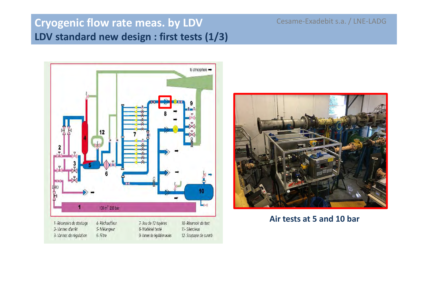# **Cryogenic flow rate meas. by LDV LDV standard new design : first tests (1/3)**

Cesame-Exadebit s.a. / LNE-LADG





**Air tests at 5 and 10 bar**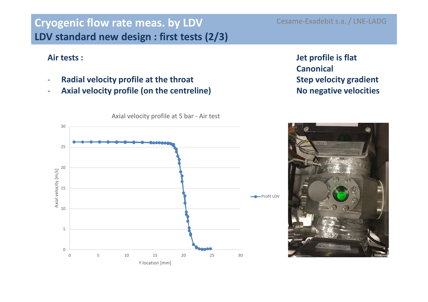# **Cryogenic flow rate meas. by LDV LDV standard new design : first tests (2/3)**

#### **Air tests :**

- -**Radial velocity profile at the throat**
- **Axial velocity profile (on the centreline)**-

Cesame-Exadebit s.a. / LNE-LADG

#### **Jet profile is flatCanonicalStep velocity gradientNo negative velocities**



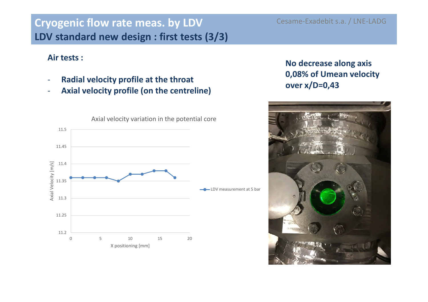# **Cryogenic flow rate meas. by LDV LDV standard new design : first tests (3/3)**

#### **Air tests :**

- -**Radial velocity profile at the throat**
- **Axial velocity profile (on the centreline)**-



### **No decrease along axis 0,08% of Umean velocity over x/D=0,43**

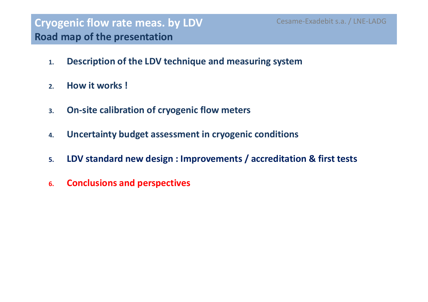- **1.Description of the LDV technique and measuring system**
- **2.How it works !**
- **3.On-site calibration of cryogenic flow meters**
- **4.Uncertainty budget assessment in cryogenic conditions**
- **5.LDV standard new design : Improvements / accreditation & first tests**
- **6.Conclusions and perspectives**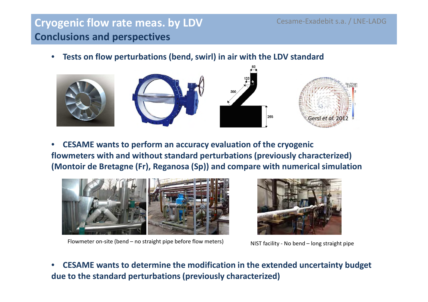## **Cryogenic flow rate meas. by LDV Conclusions and perspectives**

•**Tests on flow perturbations (bend, swirl) in air with the LDV standard**



• **CESAME wants to perform an accuracy evaluation of the cryogenic flowmeters with and without standard perturbations (previously characterized)(Montoir de Bretagne (Fr), Reganosa (Sp)) and compare with numerical simulation**



Flowmeter on-site (bend – no straight pipe before flow meters) NIST facility - No bend – long straight pipe



• **CESAME wants to determine the modification in the extended uncertainty budget due to the standard perturbations (previously characterized)**